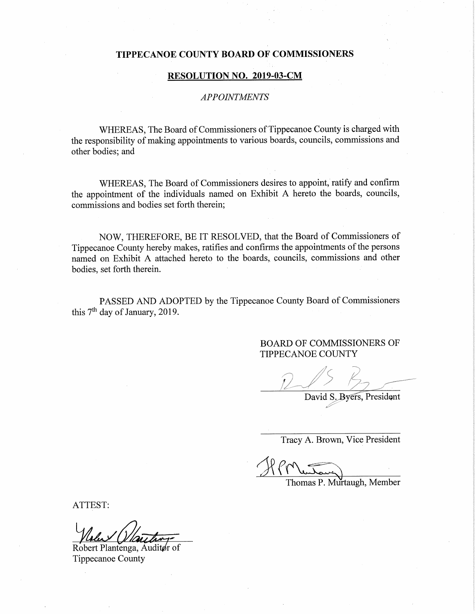### TIPPECANOE COUNTY BOARD OF COMMISSIONERS

#### RESOLUTION NO. 2019—03-CM

## APPOINTMENTS '

WHEREAS, The Board of Commissioners of Tippecanoe County is charged with the responsibility of making appointments to various boards, councils, commissions and other bodies; and

WHEREAS, The Board of Commissioners desires to appoint, ratify and confirm the appointment of the individuals named on Exhibit <sup>A</sup> hereto the boards, councils, commissions and bodies set forth therein;

NOW, THEREFORE, BE IT RESOLVED, that the Board of Commissioners of Tippecanoe County hereby makes, ratifies and confirms the appointments of the persons named on Exhibit A attached hereto to the boards, councils, commissions and other bodies, set forth therein.

PASSED AND ADOPTED by the Tippecanoe County Board of Commissioners this  $7<sup>th</sup>$  day of January, 2019.

> BOARD OF COMMISSIONERS OF **TIPPECANOE COUNTY**

 $"$  .n"""""""  $\sim$  in the set of  $\sim$  in the set of  $\sim$ ,,,,,,  $\sqrt{2}$ .v

David S. Byers, President n)-

Tracy A. Brown, Vice President

H (  $\overline{A}$ 

Thomas P. Mu'rtaugh, Member

ATTEST:

Robert Plantenga, Auditør of Tippecanoe County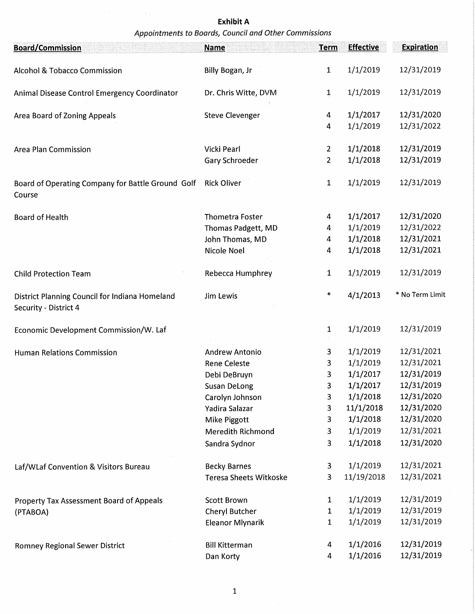# Exhibit A Appointments to Boards, Council and Other Commissions

 $\sim 10$ 

| <b>Board/Commission</b>                                                 | <b>Name</b>                   | <b>Term</b>    | <b>Effective</b> | <b>Expiration</b> |
|-------------------------------------------------------------------------|-------------------------------|----------------|------------------|-------------------|
| Alcohol & Tobacco Commission                                            | Billy Bogan, Jr               | $\mathbf{1}$   | 1/1/2019         | 12/31/2019        |
| Animal Disease Control Emergency Coordinator                            | Dr. Chris Witte, DVM          | $\mathbf{1}$   | 1/1/2019         | 12/31/2019        |
| Area Board of Zoning Appeals                                            | <b>Steve Clevenger</b>        | 4              | 1/1/2017         | 12/31/2020        |
|                                                                         |                               | 4              | 1/1/2019         | 12/31/2022        |
| <b>Area Plan Commission</b>                                             | Vicki Pearl                   | $\overline{2}$ | 1/1/2018         | 12/31/2019        |
|                                                                         | Gary Schroeder                | $\overline{2}$ | 1/1/2018         | 12/31/2019        |
| Board of Operating Company for Battle Ground Golf<br>Course             | <b>Rick Oliver</b>            | $\mathbf{1}$   | 1/1/2019         | 12/31/2019        |
| <b>Board of Health</b>                                                  | <b>Thometra Foster</b>        | 4              | 1/1/2017         | 12/31/2020        |
|                                                                         | Thomas Padgett, MD            | 4              | 1/1/2019         | 12/31/2022        |
|                                                                         | John Thomas, MD               | 4              | 1/1/2018         | 12/31/2021        |
|                                                                         | Nicole Noel                   | 4              | 1/1/2018         | 12/31/2021        |
| <b>Child Protection Team</b>                                            | Rebecca Humphrey              | $\mathbf{1}$   | 1/1/2019         | 12/31/2019        |
| District Planning Council for Indiana Homeland<br>Security - District 4 | Jim Lewis                     | $\ast$         | 4/1/2013         | * No Term Limit   |
| Economic Development Commission/W. Laf                                  |                               | 1              | 1/1/2019         | 12/31/2019        |
| <b>Human Relations Commission</b>                                       | <b>Andrew Antonio</b>         | 3              | 1/1/2019         | 12/31/2021        |
|                                                                         | <b>Rene Celeste</b>           | 3              | 1/1/2019         | 12/31/2021        |
|                                                                         | Debi DeBruyn                  | 3              | 1/1/2017         | 12/31/2019        |
|                                                                         | <b>Susan DeLong</b>           | 3              | 1/1/2017         | 12/31/2019        |
|                                                                         | Carolyn Johnson               | 3              | 1/1/2018         | 12/31/2020        |
|                                                                         | Yadira Salazar                | 3              | 11/1/2018        | 12/31/2020        |
|                                                                         | Mike Piggott                  | 3              | 1/1/2018         | 12/31/2020        |
|                                                                         | <b>Meredith Richmond</b>      | 3              | 1/1/2019         | 12/31/2021        |
|                                                                         | Sandra Sydnor                 | $\overline{3}$ | 1/1/2018         | 12/31/2020        |
| Laf/WLaf Convention & Visitors Bureau                                   | <b>Becky Barnes</b>           | $\mathbf{3}$   | 1/1/2019         | 12/31/2021        |
|                                                                         | <b>Teresa Sheets Witkoske</b> | 3              | 11/19/2018       | 12/31/2021        |
| <b>Property Tax Assessment Board of Appeals</b>                         | <b>Scott Brown</b>            | 1              | 1/1/2019         | 12/31/2019        |
| (PTABOA)                                                                | Cheryl Butcher                | $\mathbf{1}$   | 1/1/2019         | 12/31/2019        |
|                                                                         | <b>Eleanor Mlynarik</b>       | $\mathbf 1$    | 1/1/2019         | 12/31/2019        |
| <b>Romney Regional Sewer District</b>                                   | <b>Bill Kitterman</b>         | 4              | 1/1/2016         | 12/31/2019        |
|                                                                         | Dan Korty                     | 4              | 1/1/2016         | 12/31/2019        |

 $\sim$